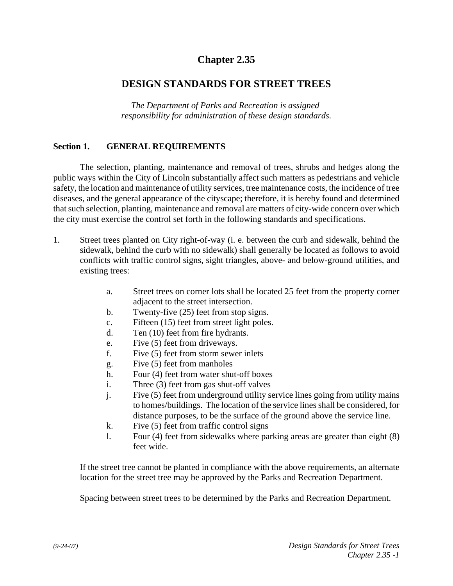## **Chapter 2.35**

## **DESIGN STANDARDS FOR STREET TREES**

*The Department of Parks and Recreation is assigned responsibility for administration of these design standards.*

## **Section 1. GENERAL REQUIREMENTS**

The selection, planting, maintenance and removal of trees, shrubs and hedges along the public ways within the City of Lincoln substantially affect such matters as pedestrians and vehicle safety, the location and maintenance of utility services, tree maintenance costs, the incidence of tree diseases, and the general appearance of the cityscape; therefore, it is hereby found and determined that such selection, planting, maintenance and removal are matters of city-wide concern over which the city must exercise the control set forth in the following standards and specifications.

- 1. Street trees planted on City right-of-way (i. e. between the curb and sidewalk, behind the sidewalk, behind the curb with no sidewalk) shall generally be located as follows to avoid conflicts with traffic control signs, sight triangles, above- and below-ground utilities, and existing trees:
	- a. Street trees on corner lots shall be located 25 feet from the property corner adjacent to the street intersection.
	- b. Twenty-five (25) feet from stop signs.
	- c. Fifteen (15) feet from street light poles.
	- d. Ten (10) feet from fire hydrants.
	- e. Five (5) feet from driveways.
	- f. Five (5) feet from storm sewer inlets
	- g. Five (5) feet from manholes
	- h. Four (4) feet from water shut-off boxes
	- i. Three (3) feet from gas shut-off valves
	- j. Five (5) feet from underground utility service lines going from utility mains to homes/buildings. The location of the service lines shall be considered, for distance purposes, to be the surface of the ground above the service line.
	- k. Five (5) feet from traffic control signs
	- l. Four (4) feet from sidewalks where parking areas are greater than eight (8) feet wide.

If the street tree cannot be planted in compliance with the above requirements, an alternate location for the street tree may be approved by the Parks and Recreation Department.

Spacing between street trees to be determined by the Parks and Recreation Department.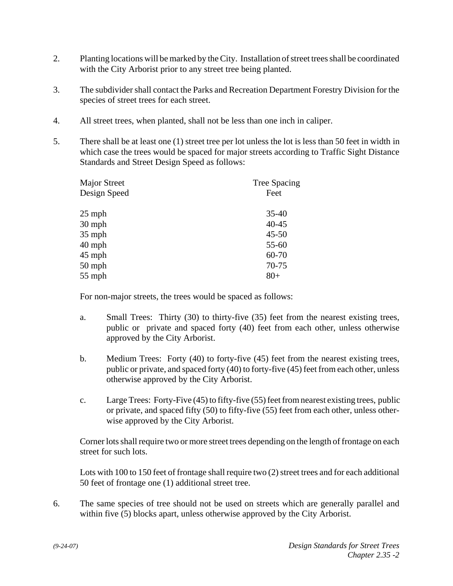- 2. Planting locations will be marked by the City. Installation of street trees shall be coordinated with the City Arborist prior to any street tree being planted.
- 3. The subdivider shall contact the Parks and Recreation Department Forestry Division for the species of street trees for each street.
- 4. All street trees, when planted, shall not be less than one inch in caliper.
- 5. There shall be at least one (1) street tree per lot unless the lot is less than 50 feet in width in which case the trees would be spaced for major streets according to Traffic Sight Distance Standards and Street Design Speed as follows:

| <b>Major Street</b><br>Design Speed | <b>Tree Spacing</b><br>Feet |
|-------------------------------------|-----------------------------|
|                                     |                             |
| 30 mph                              | $40 - 45$                   |
| $35$ mph                            | $45 - 50$                   |
| 40 mph                              | 55-60                       |
| $45$ mph                            | 60-70                       |
| $50$ mph                            | 70-75                       |
| $55$ mph                            | $80+$                       |

For non-major streets, the trees would be spaced as follows:

- a. Small Trees: Thirty (30) to thirty-five (35) feet from the nearest existing trees, public or private and spaced forty (40) feet from each other, unless otherwise approved by the City Arborist.
- b. Medium Trees: Forty (40) to forty-five (45) feet from the nearest existing trees, public or private, and spaced forty (40) to forty-five (45) feet from each other, unless otherwise approved by the City Arborist.
- c. Large Trees: Forty-Five (45) to fifty-five (55) feet from nearest existing trees, public or private, and spaced fifty (50) to fifty-five (55) feet from each other, unless otherwise approved by the City Arborist.

Corner lots shall require two or more street trees depending on the length of frontage on each street for such lots.

Lots with 100 to 150 feet of frontage shall require two (2) street trees and for each additional 50 feet of frontage one (1) additional street tree.

6. The same species of tree should not be used on streets which are generally parallel and within five (5) blocks apart, unless otherwise approved by the City Arborist.